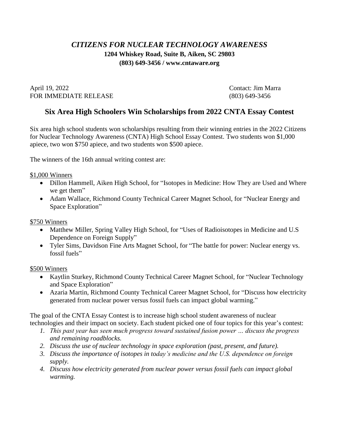## *CITIZENS FOR NUCLEAR TECHNOLOGY AWARENESS* **1204 Whiskey Road, Suite B, Aiken, SC 29803 (803) 649-3456 / www.cntaware.org**

April 19, 2022 Contact: Jim Marra FOR IMMEDIATE RELEASE (803) 649-3456

## **Six Area High Schoolers Win Scholarships from 2022 CNTA Essay Contest**

Six area high school students won scholarships resulting from their winning entries in the 2022 Citizens for Nuclear Technology Awareness (CNTA) High School Essay Contest. Two students won \$1,000 apiece, two won \$750 apiece, and two students won \$500 apiece.

The winners of the 16th annual writing contest are:

\$1,000 Winners

- Dillon Hammell, Aiken High School, for "Isotopes in Medicine: How They are Used and Where we get them"
- Adam Wallace, Richmond County Technical Career Magnet School, for "Nuclear Energy and Space Exploration"

## \$750 Winners

- Matthew Miller, Spring Valley High School, for "Uses of Radioisotopes in Medicine and U.S Dependence on Foreign Supply"
- Tyler Sims, Davidson Fine Arts Magnet School, for "The battle for power: Nuclear energy vs. fossil fuels"

## \$500 Winners

- Kaytlin Sturkey, Richmond County Technical Career Magnet School, for "Nuclear Technology and Space Exploration"
- Azaria Martin, Richmond County Technical Career Magnet School, for "Discuss how electricity generated from nuclear power versus fossil fuels can impact global warming."

The goal of the CNTA Essay Contest is to increase high school student awareness of nuclear technologies and their impact on society. Each student picked one of four topics for this year's contest:

- *1. This past year has seen much progress toward sustained fusion power … discuss the progress and remaining roadblocks.*
- *2. Discuss the use of nuclear technology in space exploration (past, present, and future).*
- *3. Discuss the importance of isotopes in today's medicine and the U.S. dependence on foreign supply.*
- *4. Discuss how electricity generated from nuclear power versus fossil fuels can impact global warming.*